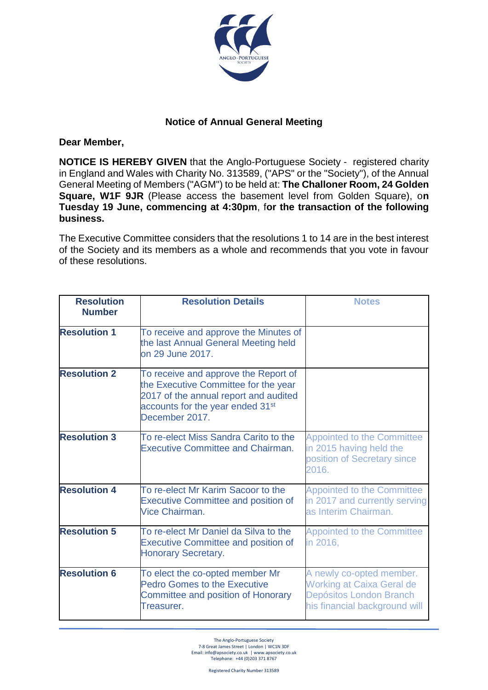

## **Notice of Annual General Meeting**

**Dear Member,**

**NOTICE IS HEREBY GIVEN** that the Anglo-Portuguese Society - registered charity in England and Wales with Charity No. 313589, ("APS" or the "Society"), of the Annual General Meeting of Members ("AGM") to be held at: **The Challoner Room, 24 Golden Square, W1F 9JR** (Please access the basement level from Golden Square), o**n Tuesday 19 June, commencing at 4:30pm**, f**or the transaction of the following business.**

The Executive Committee considers that the resolutions 1 to 14 are in the best interest of the Society and its members as a whole and recommends that you vote in favour of these resolutions.

| <b>Resolution</b><br><b>Number</b> | <b>Resolution Details</b>                                                                                                                                                               | <b>Notes</b>                                                                                                             |
|------------------------------------|-----------------------------------------------------------------------------------------------------------------------------------------------------------------------------------------|--------------------------------------------------------------------------------------------------------------------------|
| <b>Resolution 1</b>                | To receive and approve the Minutes of<br>the last Annual General Meeting held<br>on 29 June 2017.                                                                                       |                                                                                                                          |
| <b>Resolution 2</b>                | To receive and approve the Report of<br>the Executive Committee for the year<br>2017 of the annual report and audited<br>accounts for the year ended 31 <sup>st</sup><br>December 2017. |                                                                                                                          |
| <b>Resolution 3</b>                | To re-elect Miss Sandra Carito to the<br><b>Executive Committee and Chairman.</b>                                                                                                       | <b>Appointed to the Committee</b><br>in 2015 having held the<br>position of Secretary since<br>2016.                     |
| <b>Resolution 4</b>                | To re-elect Mr Karim Sacoor to the<br><b>Executive Committee and position of</b><br>Vice Chairman.                                                                                      | <b>Appointed to the Committee</b><br>in 2017 and currently serving<br>as Interim Chairman.                               |
| <b>Resolution 5</b>                | To re-elect Mr Daniel da Silva to the<br><b>Executive Committee and position of</b><br><b>Honorary Secretary.</b>                                                                       | <b>Appointed to the Committee</b><br>in 2016,                                                                            |
| <b>Resolution 6</b>                | To elect the co-opted member Mr<br><b>Pedro Gomes to the Executive</b><br><b>Committee and position of Honorary</b><br>Treasurer.                                                       | A newly co-opted member.<br><b>Working at Caixa Geral de</b><br>Depósitos London Branch<br>his financial background will |

The Anglo-Portuguese Society 7-8 Great James Street | London | WC1N 3DF Email[: info@apsociety.co.uk](mailto:info@apsociety.co.uk) | ww[w.apsociety.co.uk](http://www.apsociety.co.uk/) Telephone: +44 (0)203 371 8767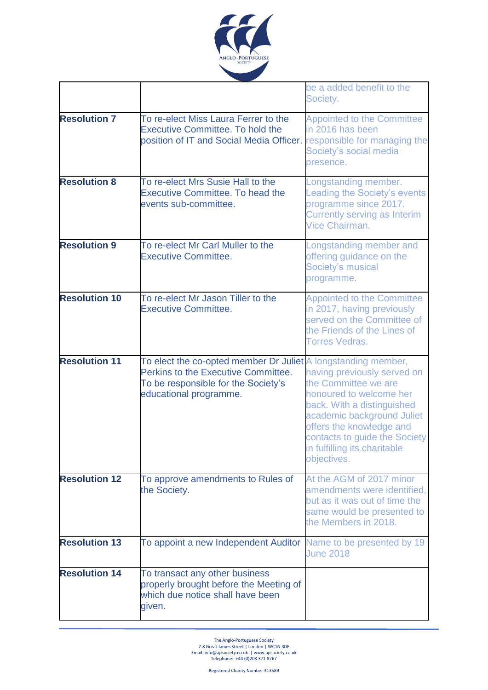

|                      |                                                                                                                                                                       | be a added benefit to the<br>Society.                                                                                                                                                                                                                  |
|----------------------|-----------------------------------------------------------------------------------------------------------------------------------------------------------------------|--------------------------------------------------------------------------------------------------------------------------------------------------------------------------------------------------------------------------------------------------------|
| <b>Resolution 7</b>  | To re-elect Miss Laura Ferrer to the<br><b>Executive Committee. To hold the</b><br>position of IT and Social Media Officer.                                           | <b>Appointed to the Committee</b><br>in 2016 has been<br>responsible for managing the<br>Society's social media<br>presence.                                                                                                                           |
| <b>Resolution 8</b>  | To re-elect Mrs Susie Hall to the<br><b>Executive Committee. To head the</b><br>events sub-committee.                                                                 | _ongstanding member.<br>Leading the Society's events<br>programme since 2017.<br><b>Currently serving as Interim</b><br>Vice Chairman.                                                                                                                 |
| <b>Resolution 9</b>  | To re-elect Mr Carl Muller to the<br><b>Executive Committee.</b>                                                                                                      | Longstanding member and<br>offering guidance on the<br>Society's musical<br>programme.                                                                                                                                                                 |
| <b>Resolution 10</b> | To re-elect Mr Jason Tiller to the<br><b>Executive Committee.</b>                                                                                                     | <b>Appointed to the Committee</b><br>in 2017, having previously<br>served on the Committee of<br>the Friends of the Lines of<br><b>Torres Vedras.</b>                                                                                                  |
| <b>Resolution 11</b> | To elect the co-opted member Dr Juliet A longstanding member,<br>Perkins to the Executive Committee.<br>To be responsible for the Society's<br>educational programme. | having previously served on<br>the Committee we are<br>honoured to welcome her<br>back. With a distinguished<br>academic background Juliet<br>offers the knowledge and<br>contacts to guide the Society<br>in fulfilling its charitable<br>objectives. |
| <b>Resolution 12</b> | To approve amendments to Rules of<br>the Society.                                                                                                                     | At the AGM of 2017 minor<br>amendments were identified,<br>but as it was out of time the<br>same would be presented to<br>the Members in 2018.                                                                                                         |
| <b>Resolution 13</b> | To appoint a new Independent Auditor                                                                                                                                  | Name to be presented by 19<br><b>June 2018</b>                                                                                                                                                                                                         |
| <b>Resolution 14</b> | To transact any other business<br>properly brought before the Meeting of<br>which due notice shall have been<br>given.                                                |                                                                                                                                                                                                                                                        |

The Anglo-Portuguese Society 7-8 Great James Street | London | WC1N 3DF Email[: info@apsociety.co.uk](mailto:info@apsociety.co.uk) | ww[w.apsociety.co.uk](http://www.apsociety.co.uk/) Telephone: +44 (0)203 371 8767